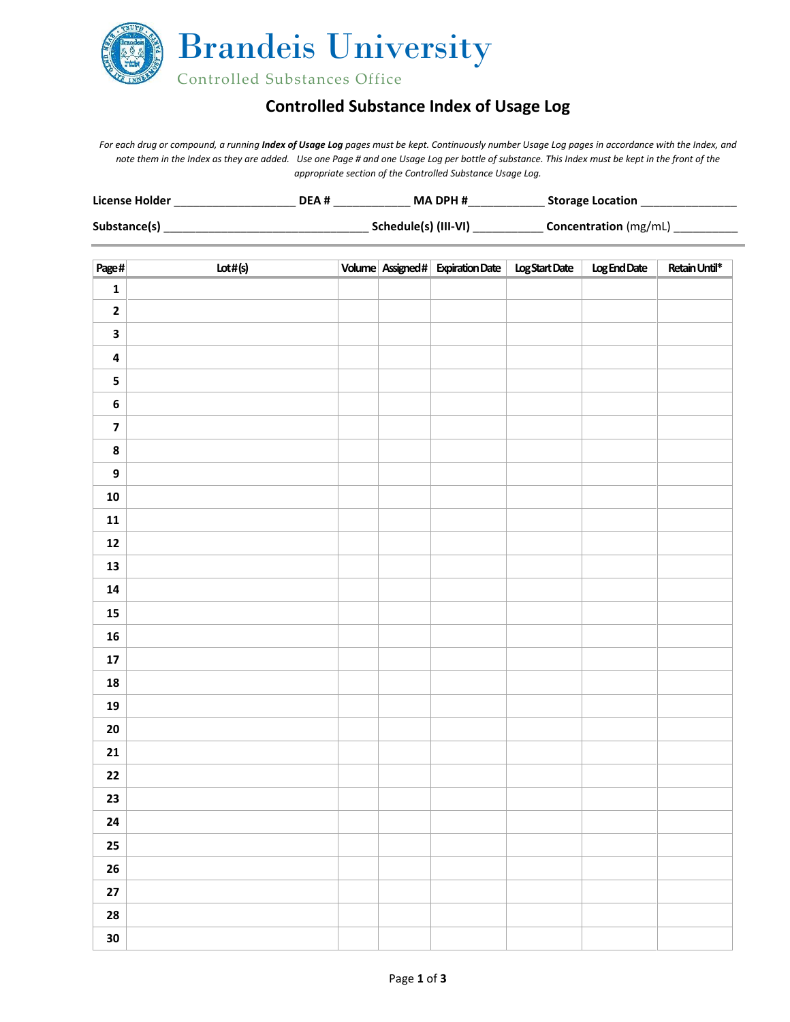

## **Controlled Substance Index of Usage Log**

*For each drug or compound, a running Index of Usage Log pages must be kept. Continuously number Usage Log pages in accordance with the Index, and note them in the Index as they are added. Use one Page # and one Usage Log per bottle of substance. This Index must be kept in the front of the appropriate section of the Controlled Substance Usage Log.* 

| License Holder | DEA# | <b>MA DPH#</b>       | <b>Storage Location</b>      |
|----------------|------|----------------------|------------------------------|
| Substance(s)   |      | Schedule(s) (III-VI) | <b>Concentration</b> (mg/mL) |

| Page#                   | Lot#(s) |  | Volume Assigned# Expiration Date   Log Start Date | Log End Date | Retain Until* |
|-------------------------|---------|--|---------------------------------------------------|--------------|---------------|
| $\mathbf 1$             |         |  |                                                   |              |               |
| $\mathbf 2$             |         |  |                                                   |              |               |
| $\overline{\mathbf{3}}$ |         |  |                                                   |              |               |
| $\pmb{4}$               |         |  |                                                   |              |               |
| ${\bf 5}$               |         |  |                                                   |              |               |
| $\boldsymbol{6}$        |         |  |                                                   |              |               |
| $\overline{\mathbf{z}}$ |         |  |                                                   |              |               |
| $\pmb{8}$               |         |  |                                                   |              |               |
| $\boldsymbol{9}$        |         |  |                                                   |              |               |
| ${\bf 10}$              |         |  |                                                   |              |               |
| ${\bf 11}$              |         |  |                                                   |              |               |
| ${\bf 12}$              |         |  |                                                   |              |               |
| ${\bf 13}$              |         |  |                                                   |              |               |
| 14                      |         |  |                                                   |              |               |
| ${\bf 15}$              |         |  |                                                   |              |               |
| ${\bf 16}$              |         |  |                                                   |              |               |
| ${\bf 17}$              |         |  |                                                   |              |               |
| ${\bf 18}$              |         |  |                                                   |              |               |
| 19                      |         |  |                                                   |              |               |
| $20\,$                  |         |  |                                                   |              |               |
| ${\bf 21}$              |         |  |                                                   |              |               |
| $22$                    |         |  |                                                   |              |               |
| 23                      |         |  |                                                   |              |               |
| 24                      |         |  |                                                   |              |               |
| $25\,$                  |         |  |                                                   |              |               |
| ${\bf 26}$              |         |  |                                                   |              |               |
| $27\,$                  |         |  |                                                   |              |               |
| 28                      |         |  |                                                   |              |               |
| 30                      |         |  |                                                   |              |               |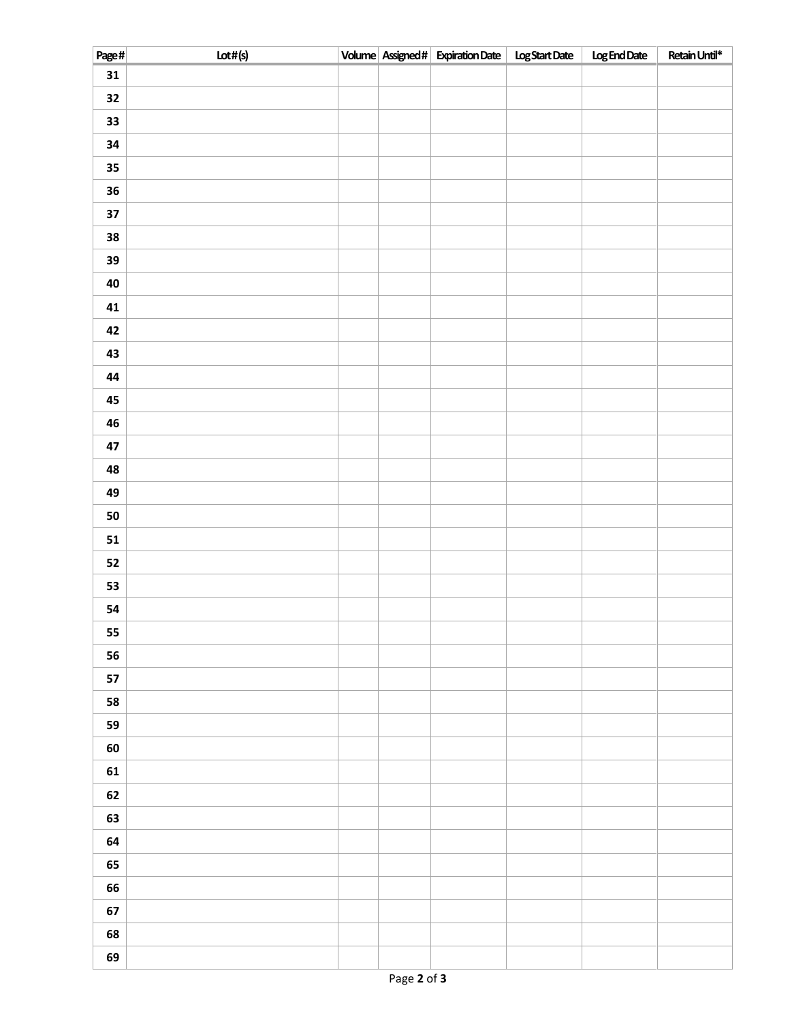| Page#      | Lot#(s) |  | Volume Assigned# Expiration Date   Log Start Date | Log End Date | Retain Until* |
|------------|---------|--|---------------------------------------------------|--------------|---------------|
| 31         |         |  |                                                   |              |               |
| 32         |         |  |                                                   |              |               |
| 33         |         |  |                                                   |              |               |
| 34         |         |  |                                                   |              |               |
| $35\,$     |         |  |                                                   |              |               |
| ${\bf 36}$ |         |  |                                                   |              |               |
| $37$       |         |  |                                                   |              |               |
| ${\bf 38}$ |         |  |                                                   |              |               |
| 39         |         |  |                                                   |              |               |
| 40         |         |  |                                                   |              |               |
| 41         |         |  |                                                   |              |               |
| 42         |         |  |                                                   |              |               |
| 43         |         |  |                                                   |              |               |
| 44         |         |  |                                                   |              |               |
| 45         |         |  |                                                   |              |               |
| 46         |         |  |                                                   |              |               |
| 47         |         |  |                                                   |              |               |
| 48         |         |  |                                                   |              |               |
| 49         |         |  |                                                   |              |               |
| ${\bf 50}$ |         |  |                                                   |              |               |
| 51         |         |  |                                                   |              |               |
| 52         |         |  |                                                   |              |               |
| 53         |         |  |                                                   |              |               |
| 54         |         |  |                                                   |              |               |
| 55         |         |  |                                                   |              |               |
| 56         |         |  |                                                   |              |               |
| 57         |         |  |                                                   |              |               |
| 58         |         |  |                                                   |              |               |
| 59         |         |  |                                                   |              |               |
| 60         |         |  |                                                   |              |               |
| 61         |         |  |                                                   |              |               |
| 62         |         |  |                                                   |              |               |
| 63         |         |  |                                                   |              |               |
| 64         |         |  |                                                   |              |               |
| 65         |         |  |                                                   |              |               |
| 66         |         |  |                                                   |              |               |
| 67         |         |  |                                                   |              |               |
| 68         |         |  |                                                   |              |               |
| 69         |         |  |                                                   |              |               |